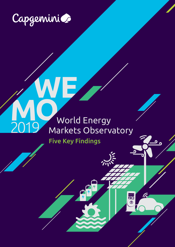

# World Energy<br>Markets Observatory

 $\tilde{m}$ 

ELECTRIC CAR<br>**20** 

Five Key Findings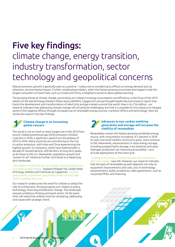# Five key findings: climate change, energy transition, industry transformation, sector technology and geopolitical concerns

Robust economic growth is generally seen as a positive—unless one is considering its effects on energy demand and, by extension, environmental impact. Further complicating matters, when the fastest growing economies also happen to be the largest consumers of fossil fuels, such as in India and China, it heightens concerns about global warming.

The growing threat of climate change, particularly as it relates to energy consumption and efficiency, is the focus of the 2019 edition of the World Energy Markets Observatory (WEMO), Capgemini's annual thought leadership and research report that tracks the development and transformation of electricity and gas markets around the world. Now in its 21st edition , our research indicates that addressing climate change will certainly be challenging, but that it is possible for the industry to mitigate some of the negative effects through increased use of renewable energy sources, transition efforts and technology. Here we review the report's five key findings:

#### **1 Climate change is an increasing global concern**

The world is not on track to reach targets set in the 2015 Paris accord. Global greenhouse gas (GHG) emissions climbed 2 percent in 2018, a significant uptick from the plateau of 2014 to 2016. Many countries are contributing to the rise in carbon emissions, with India and China experiencing the highest growth. EU emissions, which have flatlined after a decade of marked decline, still fall short of long-term goals, as do those in the U.S. Meanwhile, population growth and "power for all" initiatives further contribute to a bleak longterm landscape.

*"Our research shows that we, as a society, should be doing more to combat climate change,"* explains Philippe Vié, Global Head of Energy, Utilities and Chemicals at Capgemini. *"Utilities, governments, corporations and private citizens all must take action to address this issue."*

Our research underscores the need for utilities to adopt the role of orchestrator, driving progress as it relates to policy, technology, financing and behavior change. This landscape requires ambitious thinking and quick action. At the same time, Vié notes that utilities must be calculating, addressing core issues with strategic intent.



#### **Advances in non-carbon emitting generation and storage will increase the viability of renewables**

Renewables remain the fastest-growing worldwide energy source, with consumption increasing 14.5 percent in 2018. As solar and wind markets continue to grow, costs continue to fall. Meanwhile, advancements in clean energy storage, including pumped hydro storage, li-ion batteries and clean hydrogen production are improving accessibility—as is at-scale deployment of the smart grid.

*"Looking to the future, a modern network will include more fiber than copper,"* says Vié. However, our research indicates that the pace of renewables growth depends not only on equipment improvements and costs, but on technology advancements, public acceptance, sales agreements, such as

corporate PPAs, and financing.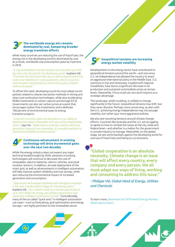#### **The worldwide energy mix remains dominated by coal, hampering broader energy transition efforts 3**

While many countries are reducing the use of fossil fuels, the energy mix in the developing world is dominated by coal. As a result, worldwide coal consumption grew by 4 percent in 2018.

*"It may be feasible for Europe to phase out coal plants by 2040, but this is not the case for the developing world,"* explains Vié. *"Countries like China and India rely on coal to improve electricity access and reliability for rural populations, which is crucial to their economic development as well as the quality of life for millions of people."*

To offset this need, developing countries must adopt sound policies related to cleaner extraction methods in mining and clean coal combustion technologies, while also accelerating RD&D investments in carbon capture and storage (CCS). Governments can also set carbon prices at a point that encourages carbon free investments and a dedicate 100 percent of environmental taxes to energy transition projects.

*"Long term transition goals are dependent on our ability to balance intermittent renewables with zero carbon dispatchable plants,"* says Vié. *"While there is certainly a need to add more generation capacity from renewables, it is equally important to improve the reliability of those sources."* 

#### **Continuous advancement in existing technology will drive incremental gains over the next two decades 4**

While the energy industry does not expect any major technical breakthroughs by 2040, advances in existing technologies will continue to decrease the cost of renewables, electric batteries, electric vehicles, and small modular reactors. In addition, at-scale deployment of the smart grid, as well as advancements in intelligent automation, will help improve system reliability and cost savings, while also reducing the environmental impact of increased generation and consumption.

*"Deep sector technologies combined with the digital revolution is the main transformation trigger for the energy sector,"* explains Vié. *"Our research confirms a savings opportunity of up to \$813 billion for energy and utilities organizations that implement intelligent automation at scale."* Coincidentally, many of the so-called "quick wins" in intelligent automation use cases—such as forecasting, grid optimization and energy storage—are highly pertinent to the renewables sector.

#### **5 Geopolitical tensions are increasing energy market volatility**

Developments in the energy sector have contributed to geopolitical tensions around the world—and vice versa. U.S. oil independence has allowed the country to enact an aggressive international policy in the Middle-East. U.S. sanctions in Iran and Venezuela, coupled with regional instabilities, have led to a significant decrease in oil production and sustained commodities prices at certain levels. Meanwhile, China could use rare earth exports as a strategic advantage.

This landscape, while troubling, is unlikely to change significantly in the future. Geopolitical tensions may shift, but they never dissolve. Perhaps more concerning, as seen with the U.S., achieving energy independence may not assuage volatility, but rather spur more aggressive policies.

We also see mounting tensions around climate change efforts. Countries like Australia and the U.S. are struggling to agree on how to combat the issues at the city, state and federal level—and whether is a matter for the government or private industry to manage. Meanwhile, on the global stage, we see some backlash against the developing world for overuse of fossil fuels and failing to cut emissions.

"Global cooperation is an absolute necessity. Climate change is an issue that will affect every country, every company and every person. We all must adapt our ways of living, working and consuming to address this issue."

*- Philippe Vié, Global Head of Energy, Utilities and Chemicals* 

To learn more, [download the 2019 World Energy Markets](http://www.capgemini.com/wemo)  [Observatory report.](http://www.capgemini.com/wemo)

3